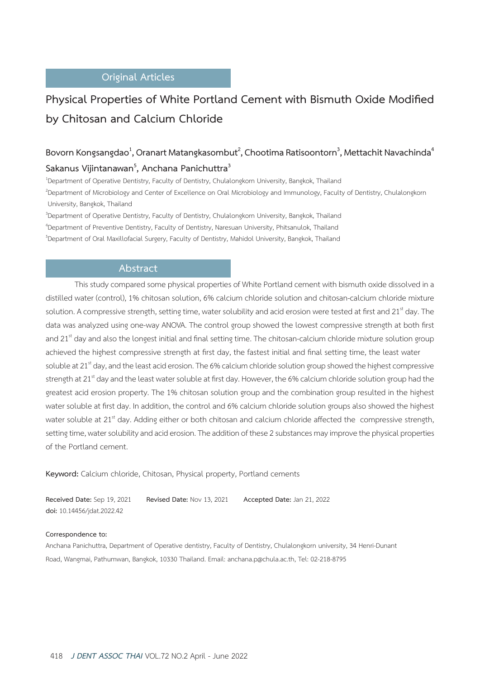# **Original Articles**

# **Physical Properties of White Portland Cement with Bismuth Oxide Modified by Chitosan and Calcium Chloride**

# $\mathsf{B}$ ovorn Kongsangdao $^1$ , Oranart Matangkasombut $^2$ , Chootima Ratisoontorn $^3$ , Mettachit Navachinda $^4$ **Sakanus Vijintanawan5 , Anchana Panichuttra3**

1 Department of Operative Dentistry, Faculty of Dentistry, Chulalongkorn University, Bangkok, Thailand 2 Department of Microbiology and Center of Excellence on Oral Microbiology and Immunology, Faculty of Dentistry, Chulalongkorn University, Bangkok, Thailand

3 Department of Operative Dentistry, Faculty of Dentistry, Chulalongkorn University, Bangkok, Thailand 4 Department of Preventive Dentistry, Faculty of Dentistry, Naresuan University, Phitsanulok, Thailand 5 Department of Oral Maxillofacial Surgery, Faculty of Dentistry, Mahidol University, Bangkok, Thailand

## **Abstract**

This study compared some physical properties of White Portland cement with bismuth oxide dissolved in a distilled water (control), 1% chitosan solution, 6% calcium chloride solution and chitosan-calcium chloride mixture solution. A compressive strength, setting time, water solubility and acid erosion were tested at first and  $21^{\text{st}}$  day. The data was analyzed using one-way ANOVA. The control group showed the lowest compressive strength at both first and 21<sup>st</sup> day and also the longest initial and final setting time. The chitosan-calcium chloride mixture solution group achieved the highest compressive strength at first day, the fastest initial and final setting time, the least water soluble at 21<sup>st</sup> day, and the least acid erosion. The 6% calcium chloride solution group showed the highest compressive strength at  $21^{st}$  day and the least water soluble at first day. However, the 6% calcium chloride solution group had the greatest acid erosion property. The 1% chitosan solution group and the combination group resulted in the highest water soluble at first day. In addition, the control and 6% calcium chloride solution groups also showed the highest water soluble at 21<sup>st</sup> day. Adding either or both chitosan and calcium chloride affected the compressive strength, setting time, water solubility and acid erosion. The addition of these 2 substances may improve the physical properties of the Portland cement.

**Keyword:** Calcium chloride, Chitosan, Physical property, Portland cements

**Received Date:** Sep 19, 2021 **Revised Date:** Nov 13, 2021 **Accepted Date:** Jan 21, 2022 **doi:** 10.14456/jdat.2022.42

#### **Correspondence to:**

Anchana Panichuttra, Department of Operative dentistry, Faculty of Dentistry, Chulalongkorn university, 34 Henri-Dunant Road, Wangmai, Pathumwan, Bangkok, 10330 Thailand. Email: anchana.p@chula.ac.th, Tel: 02-218-8795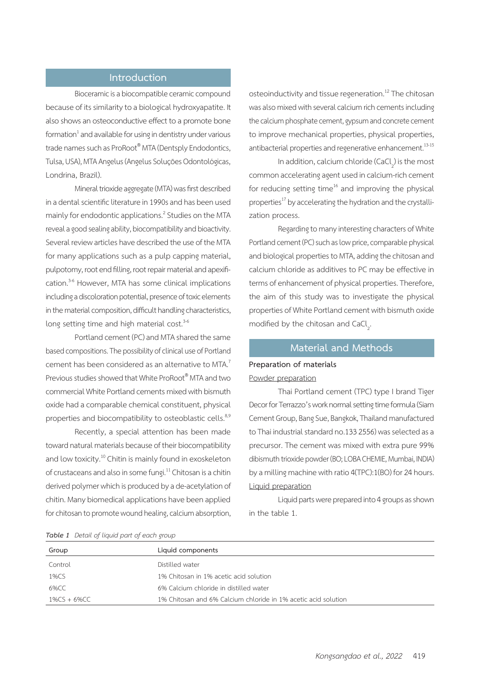# **Introduction**

Bioceramic is a biocompatible ceramic compound because of its similarity to a biological hydroxyapatite. It also shows an osteoconductive effect to a promote bone formation $^{\rm 1}$  and available for using in dentistry under various trade names such as ProRoot® MTA (Dentsply Endodontics, Tulsa, USA), MTA Angelus (Angelus Soluções Odontológicas, Londrina, Brazil).

Mineral trioxide aggregate (MTA) was first described in a dental scientific literature in 1990s and has been used mainly for endodontic applications.<sup>2</sup> Studies on the MTA reveal a good sealing ability, biocompatibility and bioactivity. Several review articles have described the use of the MTA for many applications such as a pulp capping material, pulpotomy, root end filling, root repair material and apexification.<sup>3-6</sup> However, MTA has some clinical implications including a discoloration potential, presence of toxic elements in the material composition, difficult handling characteristics, long setting time and high material cost.<sup>3-6</sup>

Portland cement (PC) and MTA shared the same based compositions. The possibility of clinical use of Portland cement has been considered as an alternative to MTA.<sup>7</sup> Previous studies showed that White ProRoot® MTA and two commercial White Portland cements mixed with bismuth oxide had a comparable chemical constituent, physical properties and biocompatibility to osteoblastic cells.<sup>8,9</sup>

Recently, a special attention has been made toward natural materials because of their biocompatibility and low toxicity.<sup>10</sup> Chitin is mainly found in exoskeleton of crustaceans and also in some fungi.11 Chitosan is a chitin derived polymer which is produced by a de-acetylation of chitin. Many biomedical applications have been applied for chitosan to promote wound healing, calcium absorption, osteoinductivity and tissue regeneration.<sup>12</sup> The chitosan was also mixed with several calcium rich cements including the calcium phosphate cement, gypsum and concrete cement to improve mechanical properties, physical properties, antibacterial properties and regenerative enhancement.<sup>13-15</sup>

In addition, calcium chloride  $(CaCl<sub>2</sub>)$  is the most common accelerating agent used in calcium-rich cement for reducing setting time $16$  and improving the physical properties<sup>17</sup> by accelerating the hydration and the crystallization process.

Regarding to many interesting characters of White Portland cement (PC) such as low price, comparable physical and biological properties to MTA, adding the chitosan and calcium chloride as additives to PC may be effective in terms of enhancement of physical properties. Therefore, the aim of this study was to investigate the physical properties of White Portland cement with bismuth oxide modified by the chitosan and CaCl<sub>2</sub>. .

# **Material and Methods**

# **Preparation of materials**

# Powder preparation

Thai Portland cement (TPC) type I brand Tiger Decor for Terrazzo's work normal setting time formula (Siam Cement Group, Bang Sue, Bangkok, Thailand manufactured to Thai industrial standard no.133 2556) was selected as a precursor. The cement was mixed with extra pure 99% dibismuth trioxide powder (BO; LOBA CHEMIE, Mumbai, INDIA) by a milling machine with ratio 4(TPC):1(BO) for 24 hours. Liquid preparation

Liquid parts were prepared into 4 groups as shown in the table 1.

*Table 1 Detail of liquid part of each group*

| $\frac{1}{2}$ and $\frac{1}{2}$ became by again pairs by each side of |                                                                |
|-----------------------------------------------------------------------|----------------------------------------------------------------|
| Group                                                                 | Liquid components                                              |
| Control                                                               | Distilled water                                                |
| 1%CS                                                                  | 1% Chitosan in 1% acetic acid solution                         |
| 6%CC                                                                  | 6% Calcium chloride in distilled water                         |
| $1\%$ CS + 6%CC                                                       | 1% Chitosan and 6% Calcium chloride in 1% acetic acid solution |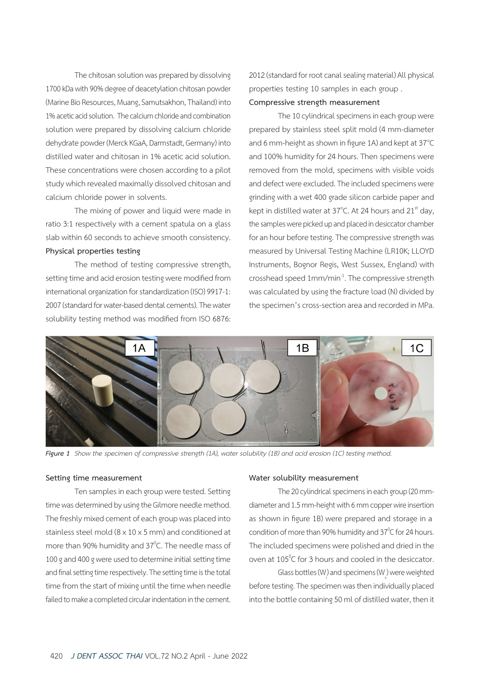The chitosan solution was prepared by dissolving 1700 kDa with 90% degree of deacetylation chitosan powder (Marine Bio Resources, Muang, Samutsakhon, Thailand) into 1% acetic acid solution. The calcium chloride and combination solution were prepared by dissolving calcium chloride dehydrate powder (Merck KGaA, Darmstadt, Germany) into distilled water and chitosan in 1% acetic acid solution. These concentrations were chosen according to a pilot study which revealed maximally dissolved chitosan and calcium chloride power in solvents.

The mixing of power and liquid were made in ratio 3:1 respectively with a cement spatula on a glass slab within 60 seconds to achieve smooth consistency. **Physical properties testing**

The method of testing compressive strength, setting time and acid erosion testing were modified from international organization for standardization (ISO) 9917-1: 2007 (standard for water-based dental cements). The water solubility testing method was modified from ISO 6876: 2012 (standard for root canal sealing material) All physical properties testing 10 samples in each group .

## **Compressive strength measurement**

The 10 cylindrical specimens in each group were prepared by stainless steel split mold (4 mm-diameter and 6 mm-height as shown in figure 1A) and kept at 37 $^{\circ}$ C and 100% humidity for 24 hours. Then specimens were removed from the mold, specimens with visible voids and defect were excluded. The included specimens were grinding with a wet 400 grade silicon carbide paper and kept in distilled water at 37°C. At 24 hours and 21 $^{\rm st}$  day, the samples were picked up and placed in desiccator chamber for an hour before testing. The compressive strength was measured by Universal Testing Machine (LR10K; LLOYD Instruments, Bognor Regis, West Sussex, England) with crosshead speed 1mm/min-1. The compressive strength was calculated by using the fracture load (N) divided by the specimen's cross-section area and recorded in MPa.



Figure 1 Show the specimen of compressive strength (1A), water solubility (1B) and acid erosion (1C) testing method.

### **Setting time measurement**

Ten samples in each group were tested. Setting time was determined by using the Gilmore needle method. The freshly mixed cement of each group was placed into stainless steel mold (8 x 10 x 5 mm) and conditioned at more than 90% humidity and 37 $\mathrm{^0C}$ . The needle mass of 100 g and 400 g were used to determine initial setting time and final setting time respectively. The setting time is the total time from the start of mixing until the time when needle failed to make a completed circular indentation in the cement.

#### **Water solubility measurement**

The 20 cylindrical specimens in each group (20 mmdiameter and 1.5 mm-height with 6 mm copper wire insertion as shown in figure 1B) were prepared and storage in a condition of more than 90% humidity and  $37^{\circ}$ C for 24 hours. The included specimens were polished and dried in the oven at  $105^{\circ}$ C for 3 hours and cooled in the desiccator.

Glass bottles (W<sub>)</sub> and specimens (W<sub>s</sub>) were weighted before testing. The specimen was then individually placed into the bottle containing 50 ml of distilled water, then it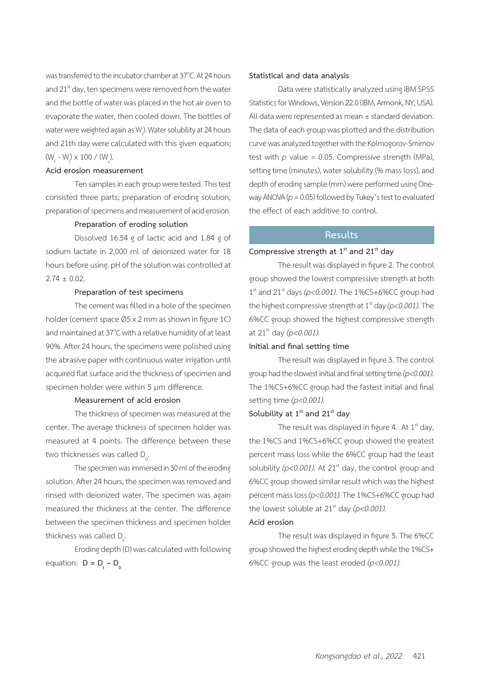was transferred to the incubator chamber at 37 $^{\circ}$ C. At 24 hours and  $21<sup>st</sup>$  day, ten specimens were removed from the water and the bottle of water was placed in the hot air oven to evaporate the water, then cooled down. The bottles of water were weighted again as W<sub>,</sub>). Water solubility at 24 hours and 21th day were calculated with this given equation;  $(W_{f} - W_{i}) \times 100 / (W_{s}).$ 

## **Acid erosion measurement**

Ten samples in each group were tested. This test consisted three parts; preparation of eroding solution, preparation of specimens and measurement of acid erosion.

## **Preparation of eroding solution**

Dissolved 16.54 g of lactic acid and 1.84 g of sodium lactate in 2,000 ml of deionized water for 18 hours before using. pH of the solution was controlled at  $2.74 \pm 0.02$ .

## **Preparation of test specimens**

The cement was filled in a hole of the specimen holder (cement space Ø5 x 2 mm as shown in figure 1C) and maintained at 37°C with a relative humidity of at least 90%. After 24 hours, the specimens were polished using the abrasive paper with continuous water irrigation until acquired flat surface and the thickness of specimen and specimen holder were within 5 um difference.

## **Measurement of acid erosion**

The thickness of specimen was measured at the center. The average thickness of specimen holder was measured at 4 points. The difference between these two thicknesses was called  $D_{0}$ .

The specimen was immersed in 30 ml of the eroding solution. After 24 hours, the specimen was removed and rinsed with deionized water. The specimen was again measured the thickness at the center. The difference between the specimen thickness and specimen holder thickness was called  $D_t$ .

Eroding depth (D) was calculated with following equation:  $D = D_t - D_0$ 

### **Statistical and data analysis**

Data were statistically analyzed using IBM SPSS Statistics for Windows, Version 22.0 (IBM, Armonk, NY, USA). All data were represented as mean ± standard deviation. The data of each group was plotted and the distribution curve was analyzed together with the Kolmogorov-Smirnov test with  $p$  value = 0.05. Compressive strength (MPa), setting time (minutes), water solubility (% mass loss), and depth of eroding sample (mm) were performed using Oneway ANOVA (*p* = 0.05) followed by Tukey's test to evaluated the effect of each additive to control.

# **Results**

### Compressive strength at 1<sup>st</sup> and 21<sup>st</sup> day

The result was displayed in figure 2. The control group showed the lowest compressive strength at both  $1<sup>st</sup>$  and 21<sup>st</sup> days ( $p<0.001$ ). The 1%CS+6%CC group had the highest compressive strength at  $1<sup>st</sup>$  day ( $p < 0.001$ ). The 6%CC group showed the highest compressive strength at 21st day *(p<0.001).*

### **Initial and final setting time**

The result was displayed in figure 3. The control group had the slowest initial and final setting time *(p<0.001).* The 1%CS+6%CC group had the fastest initial and final setting time *(p<0.001).*

## Solubility at 1<sup>st</sup> and 21<sup>st</sup> day

The result was displayed in figure 4. At  $1<sup>st</sup>$  day, the 1%CS and 1%CS+6%CC group showed the greatest percent mass loss while the 6%CC group had the least solubility  $(p<0.001)$ . At 21<sup>st</sup> day, the control group and 6%CC group showed similar result which was the highest percent mass loss *(p<0.001).* The 1%CS+6%CC group had the lowest soluble at  $21<sup>st</sup>$  day ( $p < 0.001$ ).

#### **Acid erosion**

The result was displayed in figure 5. The 6%CC group showed the highest eroding depth while the 1%CS+ 6%CC group was the least eroded *(p<0.001).*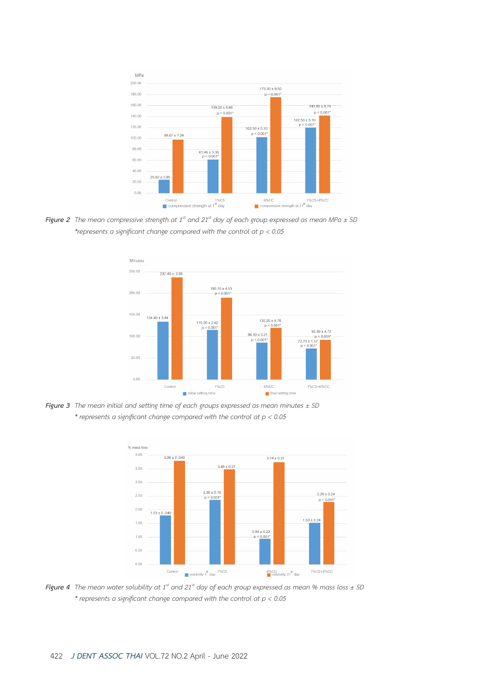

*Figure 2 The mean compressive strength at 1st and 21st day of each group expressed as mean MPa ± SD \*represents a significant change compared with the control at p < 0.05*



*Figure 3 The mean initial and setting time of each groups expressed as mean minutes ± SD \* represents a significant change compared with the control at p < 0.05*



*Figure 4 The mean water solubility at 1st and 21st day of each group expressed as mean % mass loss ± SD \* represents a significant change compared with the control at p < 0.05*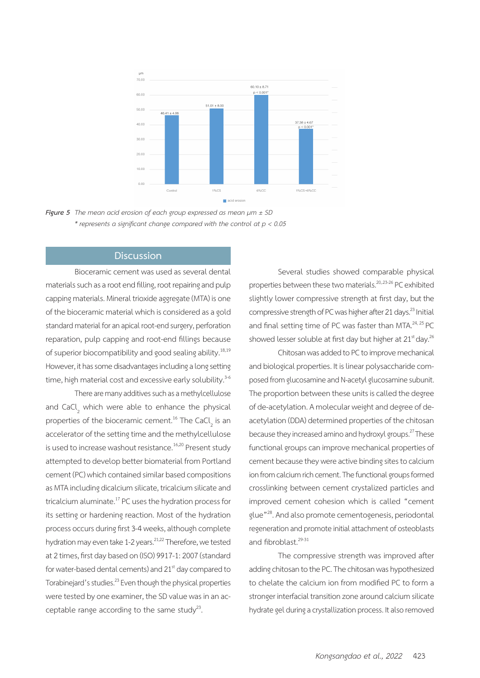

*Figure 5 The mean acid erosion of each group expressed as mean µm ± SD \* represents a significant change compared with the control at p < 0.05*

## **Discussion**

Bioceramic cement was used as several dental materials such as a root end filling, root repairing and pulp capping materials. Mineral trioxide aggregate (MTA) is one of the bioceramic material which is considered as a gold standard material for an apical root-end surgery, perforation reparation, pulp capping and root-end fillings because of superior biocompatibility and good sealing ability.<sup>18,19</sup> However, it has some disadvantages including a long setting time, high material cost and excessive early solubility.<sup>3-6</sup>

There are many additives such as a methylcellulose and CaCl<sub>2</sub> which were able to enhance the physical properties of the bioceramic cement.<sup>16</sup> The CaCl<sub>2</sub> is an accelerator of the setting time and the methylcellulose is used to increase washout resistance.<sup>16,20</sup> Present study attempted to develop better biomaterial from Portland cement (PC) which contained similar based compositions as MTA including dicalcium silicate, tricalcium silicate and tricalcium aluminate.17 PC uses the hydration process for its setting or hardening reaction. Most of the hydration process occurs during first 3-4 weeks, although complete hydration may even take 1-2 years.<sup>21,22</sup> Therefore, we tested at 2 times, first day based on (ISO) 9917-1: 2007 (standard for water-based dental cements) and 21<sup>st</sup> day compared to Torabinejard's studies.<sup>23</sup> Even though the physical properties were tested by one examiner, the SD value was in an acceptable range according to the same study<sup>23</sup>.

Several studies showed comparable physical properties between these two materials.<sup>20,,23-26</sup> PC exhibited slightly lower compressive strength at first day, but the compressive strength of PC was higher after 21 days.<sup>23</sup> Initial and final setting time of PC was faster than MTA.<sup>24, 25</sup> PC showed lesser soluble at first day but higher at 21<sup>st</sup> day.<sup>26</sup>

Chitosan was added to PC to improve mechanical and biological properties. It is linear polysaccharide composed from glucosamine and N-acetyl glucosamine subunit. The proportion between these units is called the degree of de-acetylation. A molecular weight and degree of deacetylation (DDA) determined properties of the chitosan because they increased amino and hydroxyl groups.<sup>27</sup> These functional groups can improve mechanical properties of cement because they were active binding sites to calcium ion from calcium rich cement. The functional groups formed crosslinking between cement crystalized particles and improved cement cohesion which is called "cement glue"28. And also promote cementogenesis, periodontal regeneration and promote initial attachment of osteoblasts and fibroblast.<sup>29-31</sup>

The compressive strength was improved after adding chitosan to the PC. The chitosan was hypothesized to chelate the calcium ion from modified PC to form a stronger interfacial transition zone around calcium silicate hydrate gel during a crystallization process. It also removed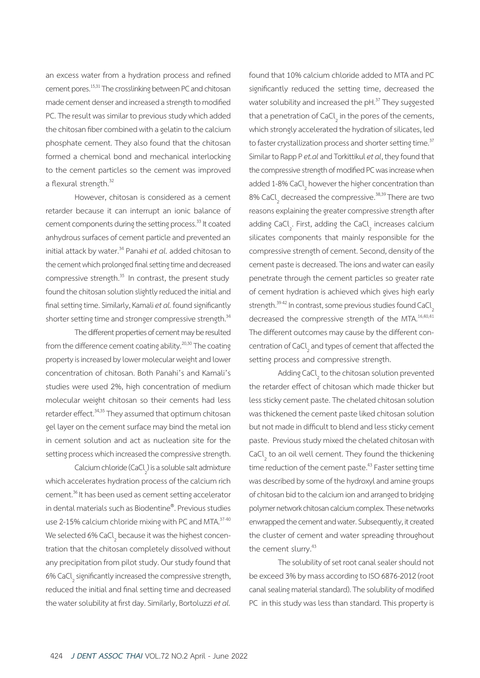an excess water from a hydration process and refined cement pores.<sup>15,31</sup> The crosslinking between PC and chitosan made cement denser and increased a strength to modified PC. The result was similar to previous study which added the chitosan fiber combined with a gelatin to the calcium phosphate cement. They also found that the chitosan formed a chemical bond and mechanical interlocking to the cement particles so the cement was improved a flexural strength.<sup>32</sup>

However, chitosan is considered as a cement retarder because it can interrupt an ionic balance of cement components during the setting process.<sup>33</sup> It coated anhydrous surfaces of cement particle and prevented an initial attack by water.<sup>34</sup> Panahi *et al.* added chitosan to the cement which prolonged final setting time and decreased compressive strength.<sup>35</sup> In contrast, the present study found the chitosan solution slightly reduced the initial and final setting time. Similarly, Kamali *et al.* found significantly shorter setting time and stronger compressive strength.<sup>34</sup>

The different properties of cement may be resulted from the difference cement coating ability. $20,30$  The coating property is increased by lower molecular weight and lower concentration of chitosan. Both Panahi's and Kamali's studies were used 2%, high concentration of medium molecular weight chitosan so their cements had less retarder effect.<sup>34,35</sup> They assumed that optimum chitosan gel layer on the cement surface may bind the metal ion in cement solution and act as nucleation site for the setting process which increased the compressive strength.

Calcium chloride (CaCl<sub>2</sub>) is a soluble salt admixture which accelerates hydration process of the calcium rich cement.36 It has been used as cement setting accelerator in dental materials such as Biodentine® . Previous studies use 2-15% calcium chloride mixing with PC and MTA.<sup>37-40</sup> We selected 6% CaCl<sub>2</sub> because it was the highest concentration that the chitosan completely dissolved without any precipitation from pilot study. Our study found that 6% CaCl<sub>2</sub> significantly increased the compressive strength, reduced the initial and final setting time and decreased the water solubility at first day. Similarly, Bortoluzzi *et al.* 

found that 10% calcium chloride added to MTA and PC significantly reduced the setting time, decreased the water solubility and increased the pH.<sup>37</sup> They suggested that a penetration of CaCl<sub>2</sub> in the pores of the cements, which strongly accelerated the hydration of silicates, led to faster crystallization process and shorter setting time.<sup>37</sup> Similar to Rapp P *et.al* and Torkittikul *et al*, they found that the compressive strength of modified PC was increase when added 1-8% CaCl<sub>2</sub> however the higher concentration than 8% CaCl<sub>2</sub> decreased the compressive.<sup>38,39</sup> There are two reasons explaining the greater compressive strength after adding CaCl<sub>2</sub>. First, adding the CaCl<sub>2</sub> increases calcium silicates components that mainly responsible for the compressive strength of cement. Second, density of the cement paste is decreased. The ions and water can easily penetrate through the cement particles so greater rate of cement hydration is achieved which gives high early strength.<sup>39-42</sup> In contrast, some previous studies found CaCl decreased the compressive strength of the MTA.<sup>16,40,41</sup> The different outcomes may cause by the different concentration of CaCl<sub>2</sub> and types of cement that affected the setting process and compressive strength.

Adding CaCl<sub>2</sub> to the chitosan solution prevented the retarder effect of chitosan which made thicker but less sticky cement paste. The chelated chitosan solution was thickened the cement paste liked chitosan solution but not made in difficult to blend and less sticky cement paste. Previous study mixed the chelated chitosan with CaCl<sub>2</sub> to an oil well cement. They found the thickening time reduction of the cement paste.<sup>43</sup> Faster setting time was described by some of the hydroxyl and amine groups of chitosan bid to the calcium ion and arranged to bridging polymer network chitosan calcium complex. These networks enwrapped the cement and water. Subsequently, it created the cluster of cement and water spreading throughout the cement slurry.<sup>43</sup>

The solubility of set root canal sealer should not be exceed 3% by mass according to ISO 6876-2012 (root canal sealing material standard). The solubility of modified PC in this study was less than standard. This property is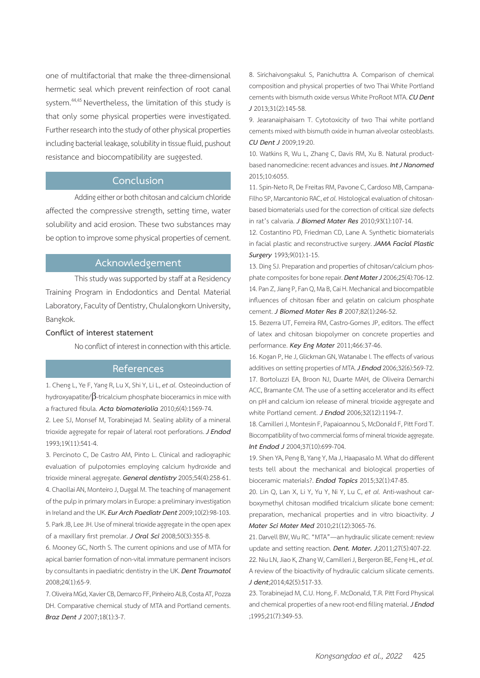one of multifactorial that make the three-dimensional hermetic seal which prevent reinfection of root canal system.<sup>44,45</sup> Nevertheless, the limitation of this study is that only some physical properties were investigated. Further research into the study of other physical properties including bacterial leakage, solubility in tissue fluid, pushout resistance and biocompatibility are suggested.

## **Conclusion**

Adding either or both chitosan and calcium chloride affected the compressive strength, setting time, water solubility and acid erosion. These two substances may be option to improve some physical properties of cement.

## **Acknowledgement**

This study was supported by staff at a Residency Training Program in Endodontics and Dental Material Laboratory, Faculty of Dentistry, Chulalongkorn University, Bangkok.

#### **Conflict of interest statement**

No conflict of interest in connection with this article.

## **References**

1. Cheng L, Ye F, Yang R, Lu X, Shi Y, Li L, *et al.* Osteoinduction of hydroxyapatite/β-tricalcium phosphate bioceramics in mice with a fractured fibula. *Acta biomaterialia* 2010;6(4):1569-74.

2. Lee SJ, Monsef M, Torabinejad M. Sealing ability of a mineral trioxide aggregate for repair of lateral root perforations. *J Endod*  1993;19(11):541-4.

3. Percinoto C, De Castro AM, Pinto L. Clinical and radiographic evaluation of pulpotomies employing calcium hydroxide and trioxide mineral aggregate. *General dentistry* 2005;54(4):258-61. 4. Chaollai AN, Monteiro J, Duggal M. The teaching of management of the pulp in primary molars in Europe: a preliminary investigation in Ireland and the UK. *Eur Arch Paediatr Dent* 2009;10(2):98-103. 5. Park JB, Lee JH. Use of mineral trioxide aggregate in the open apex of a maxillary first premolar. *J Oral Sci* 2008;50(3):355-8.

6. Mooney GC, North S. The current opinions and use of MTA for apical barrier formation of non-vital immature permanent incisors by consultants in paediatric dentistry in the UK. *Dent Traumatol*  2008;24(1):65-9.

7. Oliveira MGd, Xavier CB, Demarco FF, Pinheiro ALB, Costa AT, Pozza DH. Comparative chemical study of MTA and Portland cements. *Braz Dent J* 2007;18(1):3-7.

8. Sirichaivongsakul S, Panichuttra A. Comparison of chemical composition and physical properties of two Thai White Portland cements with bismuth oxide versus White ProRoot MTA. *CU Dent J* 2013;31(2):145-58.

9. Jearanaiphaisarn T. Cytotoxicity of two Thai white portland cements mixed with bismuth oxide in human alveolar osteoblasts. *CU Dent J* 2009;19:20.

10. Watkins R, Wu L, Zhang C, Davis RM, Xu B. Natural productbased nanomedicine: recent advances and issues. *Int J Nanomed*  2015;10:6055.

11. Spin-Neto R, De Freitas RM, Pavone C, Cardoso MB, Campana-Filho SP, Marcantonio RAC, *et al.* Histological evaluation of chitosanbased biomaterials used for the correction of critical size defects in rat's calvaria. *J Biomed Mater Res* 2010;93(1):107-14.

12. Costantino PD, Friedman CD, Lane A. Synthetic biomaterials in facial plastic and reconstructive surgery. *JAMA Facial Plastic Surgery* 1993;9(01):1-15.

13. Ding SJ. Preparation and properties of chitosan/calcium phosphate composites for bone repair. *Dent Mater J* 2006;25(4):706-12. 14. Pan Z, Jiang P, Fan Q, Ma B, Cai H. Mechanical and biocompatible influences of chitosan fiber and gelatin on calcium phosphate cement. *J Biomed Mater Res B* 2007;82(1):246-52.

15. Bezerra UT, Ferreira RM, Castro-Gomes JP, editors. The effect of latex and chitosan biopolymer on concrete properties and performance. *Key Eng Mater* 2011;466:37-46.

16. Kogan P, He J, Glickman GN, Watanabe I. The effects of various additives on setting properties of MTA. *J Endod* 2006;32(6):569-72. 17. Bortoluzzi EA, Broon NJ, Duarte MAH, de Oliveira Demarchi ACC, Bramante CM. The use of a setting accelerator and its effect on pH and calcium ion release of mineral trioxide aggregate and white Portland cement. *J Endod* 2006;32(12):1194-7.

18. Camilleri J, Montesin F, Papaioannou S, McDonald F, Pitt Ford T. Biocompatibility of two commercial forms of mineral trioxide aggregate. *Int Endod J* 2004;37(10):699-704.

19. Shen YA, Peng B, Yang Y, Ma J, Haapasalo M. What do different tests tell about the mechanical and biological properties of bioceramic materials?. *Endod Topics* 2015;32(1):47-85.

20. Lin Q, Lan X, Li Y, Yu Y, Ni Y, Lu C, *et al.* Anti-washout carboxymethyl chitosan modified tricalcium silicate bone cement: preparation, mechanical properties and in vitro bioactivity. *J Mater Sci Mater Med* 2010;21(12):3065-76.

21. Darvell BW, Wu RC. "MTA"—an hydraulic silicate cement: review update and setting reaction. *Dent. Mater. J*;2011;27(5):407-22.

22. Niu LN, Jiao K, Zhang W, Camilleri J, Bergeron BE, Feng HL, *et al.* A review of the bioactivity of hydraulic calcium silicate cements. *J dent*;2014;42(5):517-33.

23. Torabinejad M, C.U. Hong, F. McDonald, T.R. Pitt Ford Physical and chemical properties of a new root-end filling material. *J Endod* ;1995;21(7):349-53.